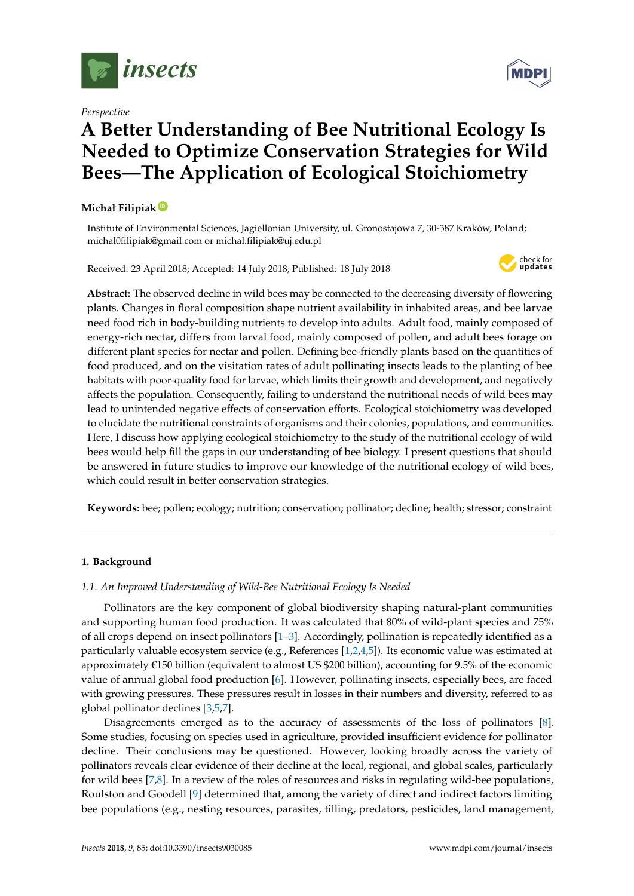

*Perspective*

# **A Better Understanding of Bee Nutritional Ecology Is Needed to Optimize Conservation Strategies for Wild Bees—The Application of Ecological Stoichiometry**

# **Michał Filipiak [ID](https://orcid.org/0000-0001-7438-4885)**

Institute of Environmental Sciences, Jagiellonian University, ul. Gronostajowa 7, 30-387 Kraków, Poland; michal0filipiak@gmail.com or michal.filipiak@uj.edu.pl

Received: 23 April 2018; Accepted: 14 July 2018; Published: 18 July 2018



**Abstract:** The observed decline in wild bees may be connected to the decreasing diversity of flowering plants. Changes in floral composition shape nutrient availability in inhabited areas, and bee larvae need food rich in body-building nutrients to develop into adults. Adult food, mainly composed of energy-rich nectar, differs from larval food, mainly composed of pollen, and adult bees forage on different plant species for nectar and pollen. Defining bee-friendly plants based on the quantities of food produced, and on the visitation rates of adult pollinating insects leads to the planting of bee habitats with poor-quality food for larvae, which limits their growth and development, and negatively affects the population. Consequently, failing to understand the nutritional needs of wild bees may lead to unintended negative effects of conservation efforts. Ecological stoichiometry was developed to elucidate the nutritional constraints of organisms and their colonies, populations, and communities. Here, I discuss how applying ecological stoichiometry to the study of the nutritional ecology of wild bees would help fill the gaps in our understanding of bee biology. I present questions that should be answered in future studies to improve our knowledge of the nutritional ecology of wild bees, which could result in better conservation strategies.

**Keywords:** bee; pollen; ecology; nutrition; conservation; pollinator; decline; health; stressor; constraint

# **1. Background**

# *1.1. An Improved Understanding of Wild-Bee Nutritional Ecology Is Needed*

Pollinators are the key component of global biodiversity shaping natural-plant communities and supporting human food production. It was calculated that 80% of wild-plant species and 75% of all crops depend on insect pollinators [\[1](#page-9-0)[–3\]](#page-9-1). Accordingly, pollination is repeatedly identified as a particularly valuable ecosystem service (e.g., References [\[1](#page-9-0)[,2,](#page-9-2)[4,](#page-9-3)[5\]](#page-10-0)). Its economic value was estimated at approximately  $\epsilon$ 150 billion (equivalent to almost US \$200 billion), accounting for 9.5% of the economic value of annual global food production [\[6\]](#page-10-1). However, pollinating insects, especially bees, are faced with growing pressures. These pressures result in losses in their numbers and diversity, referred to as global pollinator declines [\[3](#page-9-1)[,5](#page-10-0)[,7\]](#page-10-2).

Disagreements emerged as to the accuracy of assessments of the loss of pollinators [\[8\]](#page-10-3). Some studies, focusing on species used in agriculture, provided insufficient evidence for pollinator decline. Their conclusions may be questioned. However, looking broadly across the variety of pollinators reveals clear evidence of their decline at the local, regional, and global scales, particularly for wild bees [\[7](#page-10-2)[,8\]](#page-10-3). In a review of the roles of resources and risks in regulating wild-bee populations, Roulston and Goodell [\[9\]](#page-10-4) determined that, among the variety of direct and indirect factors limiting bee populations (e.g., nesting resources, parasites, tilling, predators, pesticides, land management,

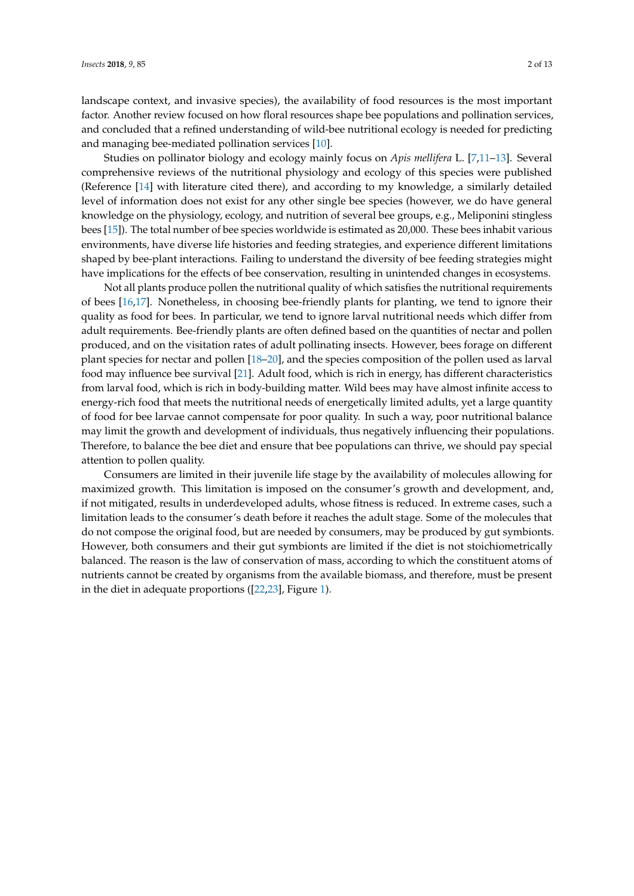landscape context, and invasive species), the availability of food resources is the most important factor. Another review focused on how floral resources shape bee populations and pollination services, and concluded that a refined understanding of wild-bee nutritional ecology is needed for predicting and managing bee-mediated pollination services [\[10\]](#page-10-5).

Studies on pollinator biology and ecology mainly focus on *Apis mellifera* L. [\[7,](#page-10-2)[11](#page-10-6)[–13\]](#page-10-7). Several comprehensive reviews of the nutritional physiology and ecology of this species were published (Reference [\[14\]](#page-10-8) with literature cited there), and according to my knowledge, a similarly detailed level of information does not exist for any other single bee species (however, we do have general knowledge on the physiology, ecology, and nutrition of several bee groups, e.g., Meliponini stingless bees [\[15\]](#page-10-9)). The total number of bee species worldwide is estimated as 20,000. These bees inhabit various environments, have diverse life histories and feeding strategies, and experience different limitations shaped by bee-plant interactions. Failing to understand the diversity of bee feeding strategies might have implications for the effects of bee conservation, resulting in unintended changes in ecosystems.

Not all plants produce pollen the nutritional quality of which satisfies the nutritional requirements of bees [\[16](#page-10-10)[,17\]](#page-10-11). Nonetheless, in choosing bee-friendly plants for planting, we tend to ignore their quality as food for bees. In particular, we tend to ignore larval nutritional needs which differ from adult requirements. Bee-friendly plants are often defined based on the quantities of nectar and pollen produced, and on the visitation rates of adult pollinating insects. However, bees forage on different plant species for nectar and pollen [\[18–](#page-10-12)[20\]](#page-10-13), and the species composition of the pollen used as larval food may influence bee survival [\[21\]](#page-10-14). Adult food, which is rich in energy, has different characteristics from larval food, which is rich in body-building matter. Wild bees may have almost infinite access to energy-rich food that meets the nutritional needs of energetically limited adults, yet a large quantity of food for bee larvae cannot compensate for poor quality. In such a way, poor nutritional balance may limit the growth and development of individuals, thus negatively influencing their populations. Therefore, to balance the bee diet and ensure that bee populations can thrive, we should pay special attention to pollen quality.

Consumers are limited in their juvenile life stage by the availability of molecules allowing for maximized growth. This limitation is imposed on the consumer's growth and development, and, if not mitigated, results in underdeveloped adults, whose fitness is reduced. In extreme cases, such a limitation leads to the consumer's death before it reaches the adult stage. Some of the molecules that do not compose the original food, but are needed by consumers, may be produced by gut symbionts. However, both consumers and their gut symbionts are limited if the diet is not stoichiometrically balanced. The reason is the law of conservation of mass, according to which the constituent atoms of nutrients cannot be created by organisms from the available biomass, and therefore, must be present in the diet in adequate proportions ([\[22](#page-10-15)[,23\]](#page-10-16), Figure [1\)](#page-2-0).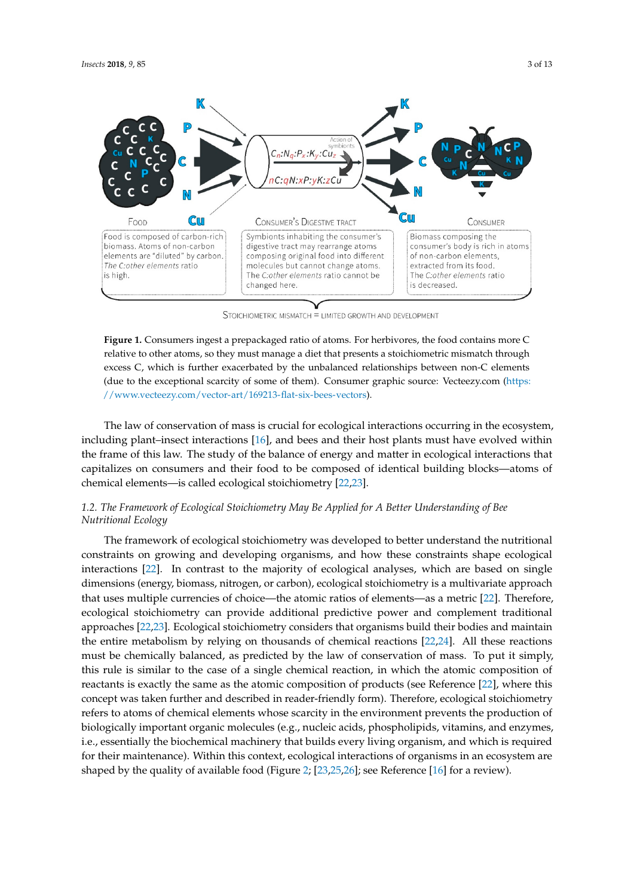<span id="page-2-0"></span>

STOICHIOMETRIC MISMATCH = LIMITED GROWTH AND DEVELOPMENT

**Figure 1.** Consumers ingest a prepackaged ratio of atoms. For herbivores, the food contains more C **Figure 1.** Consumers ingest a prepackaged ratio of atoms. For herbivores, the food contains more C relative to other atoms, so they must manage a diet that presents a stoichiometric mismatch through relative to other atoms, so they must manage a diet that presents a stoichiometric mismatch through excess C, which is further exacerbated by the unbalanced relationships between non-C elements to the exceptional scarcity of some of them). Consumer graphic source: Vecteezy.com (due to the exceptional scarcity of some of them). Consumer graphic source: Vecteezy.com [\(https:](https://www.vecteezy.com/vector-art/169213-flat-six-bees-vectors) (https://www.vecteezy.com/vector-art/169213-flat-six-bees-vectors). [//www.vecteezy.com/vector-art/169213-flat-six-bees-vectors\)](https://www.vecteezy.com/vector-art/169213-flat-six-bees-vectors).

The law of conservation of mass is crucial for ecological interactions occurring in the ecosystem, including plant–insect interactions [\[16\]](#page-10-10), and bees and their host plants must have evolved within the frame of this law. The study of the balance of energy and matter in ecological interactions that capitalizes on consumers and their food to be composed of identical building blocks—atoms of chemical elements—is called ecological stoichiometry [\[22,](#page-10-15)[23\]](#page-10-16).

#### *1.2. The Framework of Ecological Stoichiometry May Be Applied for A Better Understanding of Bee Nutritional Ecology Nutritional Ecology 1.2. The Framework of Ecological Stoichiometry May Be Applied for A Better Understanding of Bee*

The framework of ecological stoichiometry was developed to better understand the nutritional The framework of ecological stoichiometry was developed to better understand the nutritional constraints on growing and developing organisms, and how these constraints shape ecological constraints on growing and developing organisms, and how these constraints shape ecological interactions [22]. In contrast to the majority of ecological analyses, which are based on single interactions [\[22\]](#page-10-15). In contrast to the majority of ecological analyses, which are based on single dimensions (energy, biomass, nitrogen, or carbon), ecological stoichiometry is a multivariate approach that uses multiple currencies of choice—the atomic ratios of elements—as a metric [\[22\]](#page-10-15). Therefore, Therefore, ecological stoichiometry can provide additional predictive power and complement ecological stoichiometry can provide additional predictive power and complement traditional traditional approaches [22,23]. Ecological stoichiometry considers that organisms build their bodies approaches [\[22,](#page-10-15)[23\]](#page-10-16). Ecological stoichiometry considers that organisms build their bodies and maintain and maintain the entire metabolism by relying on thousands of chemical reactions [22,24]. All these the entire metabolism by relying on thousands of chemical reactions [\[22,](#page-10-15)[24\]](#page-10-17). All these reactions must be chemically balanced, as predicted by the law of conservation of mass. To put it simply, this rule is similar to the case of a single chemical reaction, in which the atomic composition of reactants is exactly the same as the atomic composition of products (see Reference [\[22\]](#page-10-15), where this reactants is exactly the same as the atomic composition of products (see Reference [22], where this concept was taken further and described in reader-friendly form). Therefore, ecological stoichiometry concept was taken further and described in reader-friendly form). Therefore, ecological stoichiometry refers to atoms of chemical elements whose scarcity in the environment prevents the production of refers to atoms of chemical elements whose scarcity in the environment prevents the production of biologically important organic molecules (e.g., nucleic acids, phospholipids, vitamins, and enzymes, biologically important organic molecules (e.g., nucleic acids, phospholipids, vitamins, and enzymes, i.e., essentially the biochemical machinery that builds every living organism, and which is required i.e., essentially the biochemical machinery that builds every living organism, and which is required for their maintenance). Within this context, ecological interactions of organisms in an ecosystem are for their maintenance). Within this context, ecological interactions of organisms in an ecosystem are shaped by the quality of available food (Figure 2; [23,25,26]; see Reference [16] for a review). shaped by the quality of available food (Figure [2;](#page-3-0) [\[23](#page-10-16)[,25](#page-10-18)[,26\]](#page-10-19); see Reference [\[16\]](#page-10-10) for a review).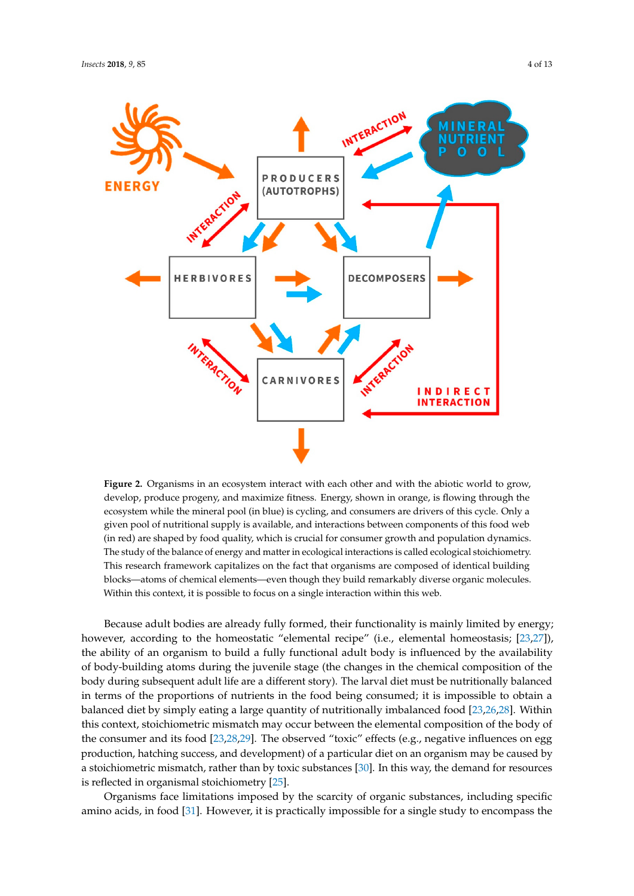<span id="page-3-0"></span>

**Figure 2.** Organisms in an ecosystem interact with each other and with the abiotic world to grow, **Figure 2.** Organisms in an ecosystem interact with each other and with the abiotic world to grow, develop, produce progeny, and maximize fitness. Energy, shown in orange, is flowing through the develop, produce progeny, and maximize fitness. Energy, shown in orange, is flowing through the ecosystem while the mineral pool (in blue) is cycling, and consumers are drivers of this cycle. Only a ecosystem while the mineral pool (in blue) is cycling, and consumers are drivers of this cycle. Only a given pool of nutritional supply is available, and interactions between components of this food web given pool of nutritional supply is available, and interactions between components of this food web (in red) are shaped by food quality, which is crucial for consumer growth and population dynamics. (in red) are shaped by food quality, which is crucial for consumer growth and population dynamics. The study of the balance of energy and matter in ecological interactions is called ecological The study of the balance of energy and matter in ecological interactions is called ecological stoichiometry. This research framework capitalizes on the fact that organisms are composed of identical building blocks—atoms of chemical elements—even though they build remarkably diverse organic molecules. Within this context, it is possible to focus on a single interaction within this web.

Because adult bodies are already fully formed, their functionality is mainly limited by energy; Because adult bodies are already fully formed, their functionality is mainly limited by energy; however, according to the homeostatic "elemental recipe" (i.e., elemental homeostasis; [\[23,](#page-10-16)[27\]](#page-10-20)), the ability of an organism to build a fully functional adult body is influenced by the availability of body-building atoms during the juvenile stage (the changes in the chemical composition of the body during subsequent adult life are a different story). The larval diet must be nutritionally balanced in terms of the proportions of nutrients in the food being consumed; it is impossible to obtain a balanced diet by simply eating a large quantity of nutritionally imbalanced food [\[23,](#page-10-16)[26,](#page-10-19)[28\]](#page-11-0). Within this context, stoichiometric mismatch may occur between the elemental composition of the body of the consumer and its food [\[23](#page-10-16)[,28](#page-11-0)[,29\]](#page-11-1). The observed "toxic" effects (e.g., negative influences on egg production, hatching success, and development) of a particular diet on an organism may be caused by a stoichiometric mismatch, rather than by toxic substances [\[30\]](#page-11-2). In this way, the demand for resources is reflected in organismal stoichiometry [25]. is reflected in organismal stoichiometry [\[25\]](#page-10-18).

Organisms face limitations imposed by the scarcity of organic substances, including specific Organisms face limitations imposed by the scarcity of organic substances, including specific amino acids, in food [31]. However, it is practically impossible for a single study to encompass the amino acids, in food [\[31\]](#page-11-3). However, it is practically impossible for a single study to encompass the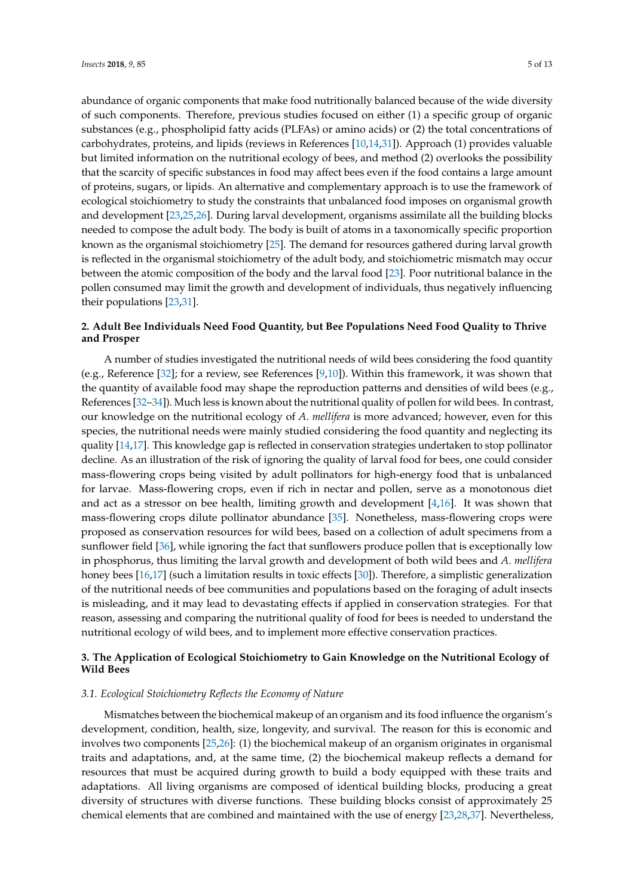carbohydrates, proteins, and lipids (reviews in References [\[10,](#page-10-5)[14,](#page-10-8)[31\]](#page-11-3)). Approach (1) provides valuable but limited information on the nutritional ecology of bees, and method (2) overlooks the possibility that the scarcity of specific substances in food may affect bees even if the food contains a large amount of proteins, sugars, or lipids. An alternative and complementary approach is to use the framework of ecological stoichiometry to study the constraints that unbalanced food imposes on organismal growth and development [\[23](#page-10-16)[,25](#page-10-18)[,26\]](#page-10-19). During larval development, organisms assimilate all the building blocks needed to compose the adult body. The body is built of atoms in a taxonomically specific proportion known as the organismal stoichiometry [\[25\]](#page-10-18). The demand for resources gathered during larval growth is reflected in the organismal stoichiometry of the adult body, and stoichiometric mismatch may occur between the atomic composition of the body and the larval food [\[23\]](#page-10-16). Poor nutritional balance in the pollen consumed may limit the growth and development of individuals, thus negatively influencing their populations [\[23](#page-10-16)[,31\]](#page-11-3).

## **2. Adult Bee Individuals Need Food Quantity, but Bee Populations Need Food Quality to Thrive and Prosper**

A number of studies investigated the nutritional needs of wild bees considering the food quantity (e.g., Reference [\[32\]](#page-11-4); for a review, see References [\[9,](#page-10-4)[10\]](#page-10-5)). Within this framework, it was shown that the quantity of available food may shape the reproduction patterns and densities of wild bees (e.g., References [\[32–](#page-11-4)[34\]](#page-11-5)). Much less is known about the nutritional quality of pollen for wild bees. In contrast, our knowledge on the nutritional ecology of *A. mellifera* is more advanced; however, even for this species, the nutritional needs were mainly studied considering the food quantity and neglecting its quality [\[14,](#page-10-8)[17\]](#page-10-11). This knowledge gap is reflected in conservation strategies undertaken to stop pollinator decline. As an illustration of the risk of ignoring the quality of larval food for bees, one could consider mass-flowering crops being visited by adult pollinators for high-energy food that is unbalanced for larvae. Mass-flowering crops, even if rich in nectar and pollen, serve as a monotonous diet and act as a stressor on bee health, limiting growth and development [\[4](#page-9-3)[,16\]](#page-10-10). It was shown that mass-flowering crops dilute pollinator abundance [\[35\]](#page-11-6). Nonetheless, mass-flowering crops were proposed as conservation resources for wild bees, based on a collection of adult specimens from a sunflower field [\[36\]](#page-11-7), while ignoring the fact that sunflowers produce pollen that is exceptionally low in phosphorus, thus limiting the larval growth and development of both wild bees and *A. mellifera* honey bees [\[16,](#page-10-10)[17\]](#page-10-11) (such a limitation results in toxic effects [\[30\]](#page-11-2)). Therefore, a simplistic generalization of the nutritional needs of bee communities and populations based on the foraging of adult insects is misleading, and it may lead to devastating effects if applied in conservation strategies. For that reason, assessing and comparing the nutritional quality of food for bees is needed to understand the nutritional ecology of wild bees, and to implement more effective conservation practices.

## **3. The Application of Ecological Stoichiometry to Gain Knowledge on the Nutritional Ecology of Wild Bees**

### *3.1. Ecological Stoichiometry Reflects the Economy of Nature*

Mismatches between the biochemical makeup of an organism and its food influence the organism's development, condition, health, size, longevity, and survival. The reason for this is economic and involves two components [\[25](#page-10-18)[,26\]](#page-10-19): (1) the biochemical makeup of an organism originates in organismal traits and adaptations, and, at the same time, (2) the biochemical makeup reflects a demand for resources that must be acquired during growth to build a body equipped with these traits and adaptations. All living organisms are composed of identical building blocks, producing a great diversity of structures with diverse functions. These building blocks consist of approximately 25 chemical elements that are combined and maintained with the use of energy [\[23,](#page-10-16)[28,](#page-11-0)[37\]](#page-11-8). Nevertheless,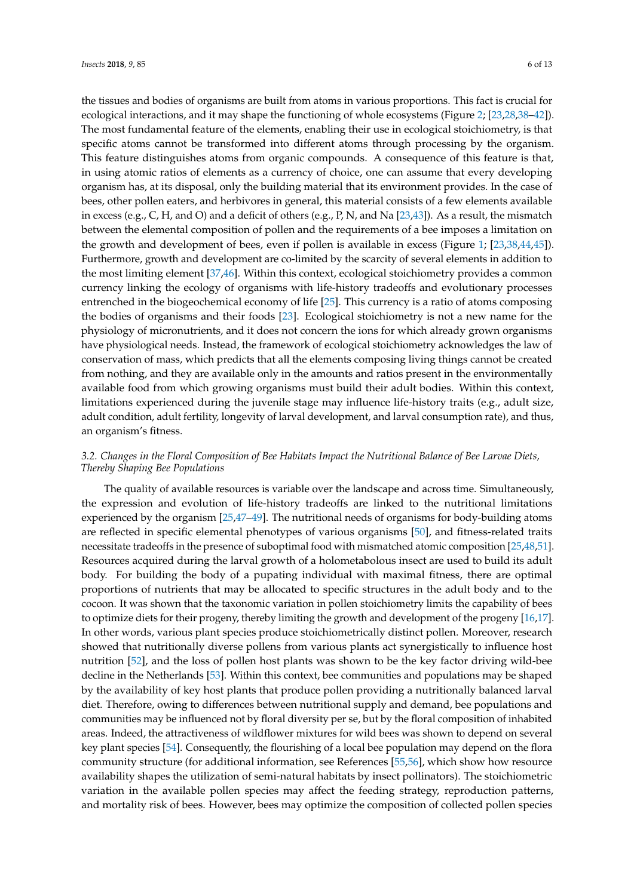the tissues and bodies of organisms are built from atoms in various proportions. This fact is crucial for ecological interactions, and it may shape the functioning of whole ecosystems (Figure [2;](#page-3-0) [\[23,](#page-10-16)[28,](#page-11-0)[38–](#page-11-9)[42\]](#page-11-10)). The most fundamental feature of the elements, enabling their use in ecological stoichiometry, is that specific atoms cannot be transformed into different atoms through processing by the organism. This feature distinguishes atoms from organic compounds. A consequence of this feature is that, in using atomic ratios of elements as a currency of choice, one can assume that every developing organism has, at its disposal, only the building material that its environment provides. In the case of bees, other pollen eaters, and herbivores in general, this material consists of a few elements available in excess (e.g., C, H, and O) and a deficit of others (e.g., P, N, and Na [\[23](#page-10-16)[,43\]](#page-11-11)). As a result, the mismatch between the elemental composition of pollen and the requirements of a bee imposes a limitation on the growth and development of bees, even if pollen is available in excess (Figure [1;](#page-2-0) [\[23,](#page-10-16)[38,](#page-11-9)[44,](#page-11-12)[45\]](#page-11-13)). Furthermore, growth and development are co-limited by the scarcity of several elements in addition to the most limiting element [\[37](#page-11-8)[,46\]](#page-11-14). Within this context, ecological stoichiometry provides a common currency linking the ecology of organisms with life-history tradeoffs and evolutionary processes entrenched in the biogeochemical economy of life [\[25\]](#page-10-18). This currency is a ratio of atoms composing the bodies of organisms and their foods [\[23\]](#page-10-16). Ecological stoichiometry is not a new name for the physiology of micronutrients, and it does not concern the ions for which already grown organisms have physiological needs. Instead, the framework of ecological stoichiometry acknowledges the law of conservation of mass, which predicts that all the elements composing living things cannot be created from nothing, and they are available only in the amounts and ratios present in the environmentally available food from which growing organisms must build their adult bodies. Within this context, limitations experienced during the juvenile stage may influence life-history traits (e.g., adult size, adult condition, adult fertility, longevity of larval development, and larval consumption rate), and thus, an organism's fitness.

## *3.2. Changes in the Floral Composition of Bee Habitats Impact the Nutritional Balance of Bee Larvae Diets, Thereby Shaping Bee Populations*

The quality of available resources is variable over the landscape and across time. Simultaneously, the expression and evolution of life-history tradeoffs are linked to the nutritional limitations experienced by the organism [\[25,](#page-10-18)[47](#page-11-15)[–49\]](#page-11-16). The nutritional needs of organisms for body-building atoms are reflected in specific elemental phenotypes of various organisms [\[50\]](#page-11-17), and fitness-related traits necessitate tradeoffs in the presence of suboptimal food with mismatched atomic composition [\[25](#page-10-18)[,48](#page-11-18)[,51\]](#page-12-0). Resources acquired during the larval growth of a holometabolous insect are used to build its adult body. For building the body of a pupating individual with maximal fitness, there are optimal proportions of nutrients that may be allocated to specific structures in the adult body and to the cocoon. It was shown that the taxonomic variation in pollen stoichiometry limits the capability of bees to optimize diets for their progeny, thereby limiting the growth and development of the progeny [\[16](#page-10-10)[,17\]](#page-10-11). In other words, various plant species produce stoichiometrically distinct pollen. Moreover, research showed that nutritionally diverse pollens from various plants act synergistically to influence host nutrition [\[52\]](#page-12-1), and the loss of pollen host plants was shown to be the key factor driving wild-bee decline in the Netherlands [\[53\]](#page-12-2). Within this context, bee communities and populations may be shaped by the availability of key host plants that produce pollen providing a nutritionally balanced larval diet. Therefore, owing to differences between nutritional supply and demand, bee populations and communities may be influenced not by floral diversity per se, but by the floral composition of inhabited areas. Indeed, the attractiveness of wildflower mixtures for wild bees was shown to depend on several key plant species [\[54\]](#page-12-3). Consequently, the flourishing of a local bee population may depend on the flora community structure (for additional information, see References [\[55,](#page-12-4)[56\]](#page-12-5), which show how resource availability shapes the utilization of semi-natural habitats by insect pollinators). The stoichiometric variation in the available pollen species may affect the feeding strategy, reproduction patterns, and mortality risk of bees. However, bees may optimize the composition of collected pollen species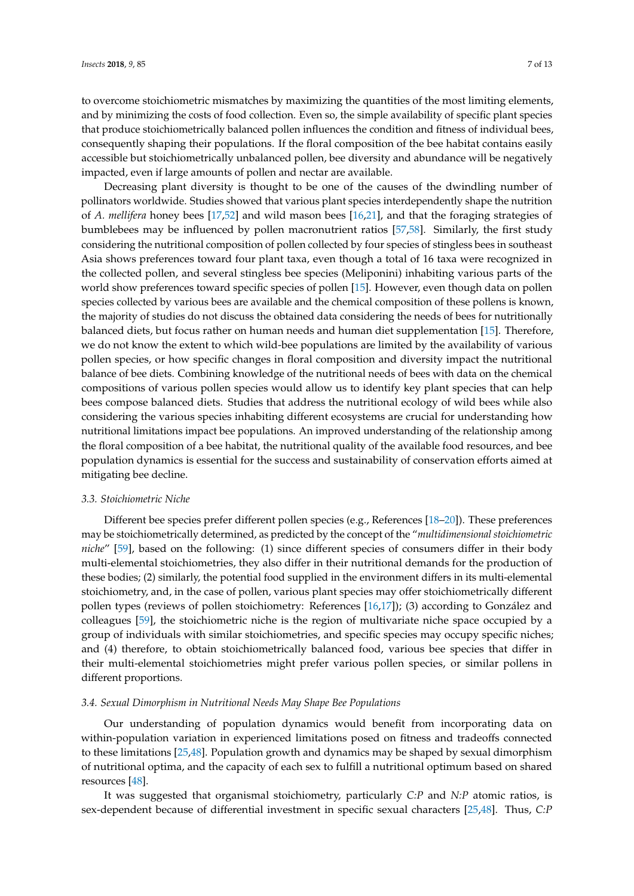to overcome stoichiometric mismatches by maximizing the quantities of the most limiting elements, and by minimizing the costs of food collection. Even so, the simple availability of specific plant species that produce stoichiometrically balanced pollen influences the condition and fitness of individual bees, consequently shaping their populations. If the floral composition of the bee habitat contains easily accessible but stoichiometrically unbalanced pollen, bee diversity and abundance will be negatively impacted, even if large amounts of pollen and nectar are available.

Decreasing plant diversity is thought to be one of the causes of the dwindling number of pollinators worldwide. Studies showed that various plant species interdependently shape the nutrition of *A. mellifera* honey bees [\[17](#page-10-11)[,52\]](#page-12-1) and wild mason bees [\[16](#page-10-10)[,21\]](#page-10-14), and that the foraging strategies of bumblebees may be influenced by pollen macronutrient ratios [\[57,](#page-12-6)[58\]](#page-12-7). Similarly, the first study considering the nutritional composition of pollen collected by four species of stingless bees in southeast Asia shows preferences toward four plant taxa, even though a total of 16 taxa were recognized in the collected pollen, and several stingless bee species (Meliponini) inhabiting various parts of the world show preferences toward specific species of pollen [\[15\]](#page-10-9). However, even though data on pollen species collected by various bees are available and the chemical composition of these pollens is known, the majority of studies do not discuss the obtained data considering the needs of bees for nutritionally balanced diets, but focus rather on human needs and human diet supplementation [\[15\]](#page-10-9). Therefore, we do not know the extent to which wild-bee populations are limited by the availability of various pollen species, or how specific changes in floral composition and diversity impact the nutritional balance of bee diets. Combining knowledge of the nutritional needs of bees with data on the chemical compositions of various pollen species would allow us to identify key plant species that can help bees compose balanced diets. Studies that address the nutritional ecology of wild bees while also considering the various species inhabiting different ecosystems are crucial for understanding how nutritional limitations impact bee populations. An improved understanding of the relationship among the floral composition of a bee habitat, the nutritional quality of the available food resources, and bee population dynamics is essential for the success and sustainability of conservation efforts aimed at mitigating bee decline.

### *3.3. Stoichiometric Niche*

Different bee species prefer different pollen species (e.g., References [\[18–](#page-10-12)[20\]](#page-10-13)). These preferences may be stoichiometrically determined, as predicted by the concept of the "*multidimensional stoichiometric niche*" [\[59\]](#page-12-8), based on the following: (1) since different species of consumers differ in their body multi-elemental stoichiometries, they also differ in their nutritional demands for the production of these bodies; (2) similarly, the potential food supplied in the environment differs in its multi-elemental stoichiometry, and, in the case of pollen, various plant species may offer stoichiometrically different pollen types (reviews of pollen stoichiometry: References [\[16](#page-10-10)[,17\]](#page-10-11)); (3) according to González and colleagues [\[59\]](#page-12-8), the stoichiometric niche is the region of multivariate niche space occupied by a group of individuals with similar stoichiometries, and specific species may occupy specific niches; and (4) therefore, to obtain stoichiometrically balanced food, various bee species that differ in their multi-elemental stoichiometries might prefer various pollen species, or similar pollens in different proportions.

#### *3.4. Sexual Dimorphism in Nutritional Needs May Shape Bee Populations*

Our understanding of population dynamics would benefit from incorporating data on within-population variation in experienced limitations posed on fitness and tradeoffs connected to these limitations [\[25](#page-10-18)[,48\]](#page-11-18). Population growth and dynamics may be shaped by sexual dimorphism of nutritional optima, and the capacity of each sex to fulfill a nutritional optimum based on shared resources [\[48\]](#page-11-18).

It was suggested that organismal stoichiometry, particularly *C:P* and *N:P* atomic ratios, is sex-dependent because of differential investment in specific sexual characters [\[25,](#page-10-18)[48\]](#page-11-18). Thus, *C:P*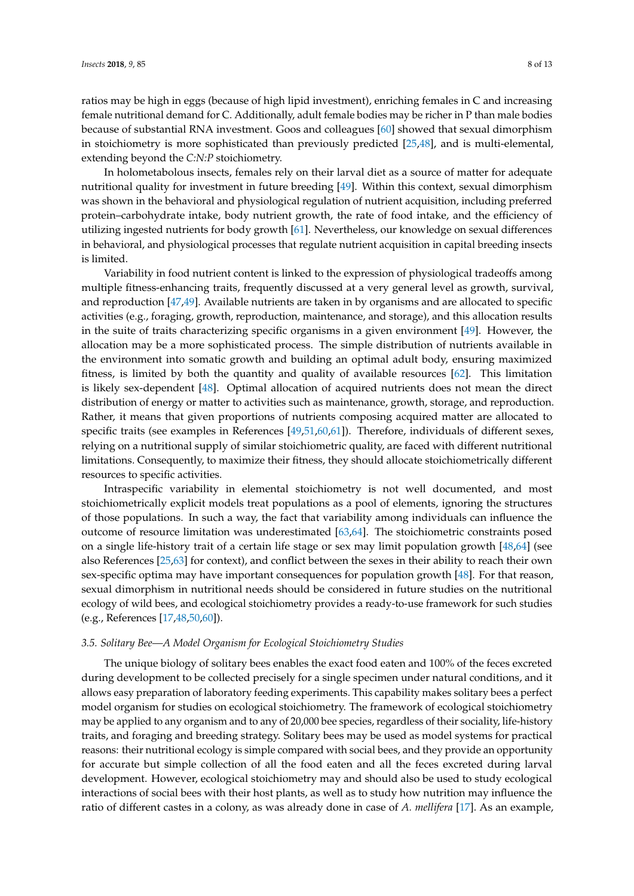ratios may be high in eggs (because of high lipid investment), enriching females in C and increasing female nutritional demand for C. Additionally, adult female bodies may be richer in P than male bodies because of substantial RNA investment. Goos and colleagues [\[60\]](#page-12-9) showed that sexual dimorphism in stoichiometry is more sophisticated than previously predicted [\[25,](#page-10-18)[48\]](#page-11-18), and is multi-elemental, extending beyond the *C:N:P* stoichiometry.

In holometabolous insects, females rely on their larval diet as a source of matter for adequate nutritional quality for investment in future breeding [\[49\]](#page-11-16). Within this context, sexual dimorphism was shown in the behavioral and physiological regulation of nutrient acquisition, including preferred protein–carbohydrate intake, body nutrient growth, the rate of food intake, and the efficiency of utilizing ingested nutrients for body growth [\[61\]](#page-12-10). Nevertheless, our knowledge on sexual differences in behavioral, and physiological processes that regulate nutrient acquisition in capital breeding insects is limited.

Variability in food nutrient content is linked to the expression of physiological tradeoffs among multiple fitness-enhancing traits, frequently discussed at a very general level as growth, survival, and reproduction [\[47,](#page-11-15)[49\]](#page-11-16). Available nutrients are taken in by organisms and are allocated to specific activities (e.g., foraging, growth, reproduction, maintenance, and storage), and this allocation results in the suite of traits characterizing specific organisms in a given environment [\[49\]](#page-11-16). However, the allocation may be a more sophisticated process. The simple distribution of nutrients available in the environment into somatic growth and building an optimal adult body, ensuring maximized fitness, is limited by both the quantity and quality of available resources [\[62\]](#page-12-11). This limitation is likely sex-dependent [\[48\]](#page-11-18). Optimal allocation of acquired nutrients does not mean the direct distribution of energy or matter to activities such as maintenance, growth, storage, and reproduction. Rather, it means that given proportions of nutrients composing acquired matter are allocated to specific traits (see examples in References [\[49,](#page-11-16)[51,](#page-12-0)[60,](#page-12-9)[61\]](#page-12-10)). Therefore, individuals of different sexes, relying on a nutritional supply of similar stoichiometric quality, are faced with different nutritional limitations. Consequently, to maximize their fitness, they should allocate stoichiometrically different resources to specific activities.

Intraspecific variability in elemental stoichiometry is not well documented, and most stoichiometrically explicit models treat populations as a pool of elements, ignoring the structures of those populations. In such a way, the fact that variability among individuals can influence the outcome of resource limitation was underestimated [\[63,](#page-12-12)[64\]](#page-12-13). The stoichiometric constraints posed on a single life-history trait of a certain life stage or sex may limit population growth [\[48,](#page-11-18)[64\]](#page-12-13) (see also References [\[25](#page-10-18)[,63\]](#page-12-12) for context), and conflict between the sexes in their ability to reach their own sex-specific optima may have important consequences for population growth [\[48\]](#page-11-18). For that reason, sexual dimorphism in nutritional needs should be considered in future studies on the nutritional ecology of wild bees, and ecological stoichiometry provides a ready-to-use framework for such studies (e.g., References [\[17](#page-10-11)[,48](#page-11-18)[,50,](#page-11-17)[60\]](#page-12-9)).

#### *3.5. Solitary Bee—A Model Organism for Ecological Stoichiometry Studies*

The unique biology of solitary bees enables the exact food eaten and 100% of the feces excreted during development to be collected precisely for a single specimen under natural conditions, and it allows easy preparation of laboratory feeding experiments. This capability makes solitary bees a perfect model organism for studies on ecological stoichiometry. The framework of ecological stoichiometry may be applied to any organism and to any of 20,000 bee species, regardless of their sociality, life-history traits, and foraging and breeding strategy. Solitary bees may be used as model systems for practical reasons: their nutritional ecology is simple compared with social bees, and they provide an opportunity for accurate but simple collection of all the food eaten and all the feces excreted during larval development. However, ecological stoichiometry may and should also be used to study ecological interactions of social bees with their host plants, as well as to study how nutrition may influence the ratio of different castes in a colony, as was already done in case of *A. mellifera* [\[17\]](#page-10-11). As an example,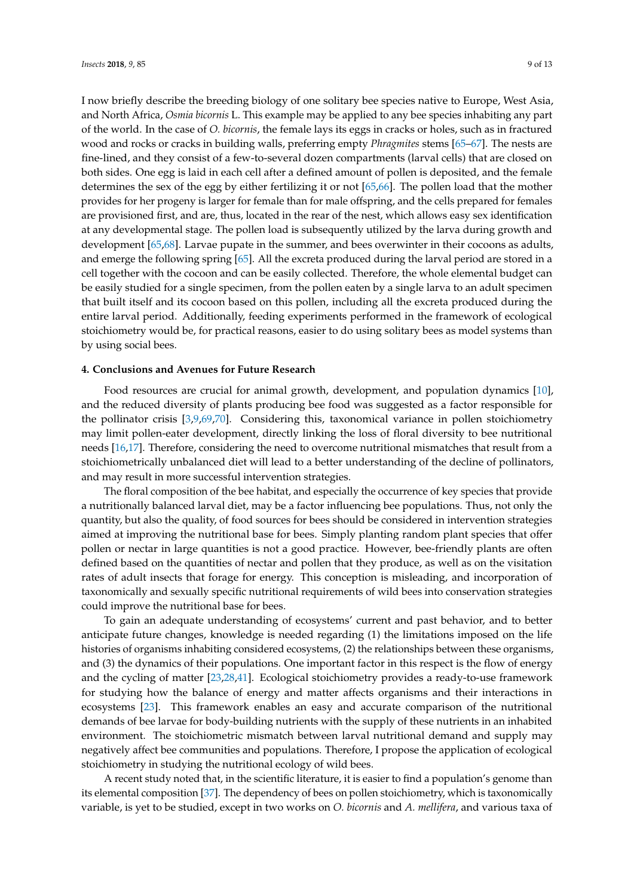I now briefly describe the breeding biology of one solitary bee species native to Europe, West Asia, and North Africa, *Osmia bicornis* L. This example may be applied to any bee species inhabiting any part of the world. In the case of *O. bicornis*, the female lays its eggs in cracks or holes, such as in fractured wood and rocks or cracks in building walls, preferring empty *Phragmites* stems [\[65–](#page-12-14)[67\]](#page-12-15). The nests are fine-lined, and they consist of a few-to-several dozen compartments (larval cells) that are closed on both sides. One egg is laid in each cell after a defined amount of pollen is deposited, and the female determines the sex of the egg by either fertilizing it or not [\[65,](#page-12-14)[66\]](#page-12-16). The pollen load that the mother provides for her progeny is larger for female than for male offspring, and the cells prepared for females are provisioned first, and are, thus, located in the rear of the nest, which allows easy sex identification at any developmental stage. The pollen load is subsequently utilized by the larva during growth and development [\[65,](#page-12-14)[68\]](#page-12-17). Larvae pupate in the summer, and bees overwinter in their cocoons as adults, and emerge the following spring [\[65\]](#page-12-14). All the excreta produced during the larval period are stored in a cell together with the cocoon and can be easily collected. Therefore, the whole elemental budget can be easily studied for a single specimen, from the pollen eaten by a single larva to an adult specimen that built itself and its cocoon based on this pollen, including all the excreta produced during the entire larval period. Additionally, feeding experiments performed in the framework of ecological stoichiometry would be, for practical reasons, easier to do using solitary bees as model systems than by using social bees.

#### **4. Conclusions and Avenues for Future Research**

Food resources are crucial for animal growth, development, and population dynamics [\[10\]](#page-10-5), and the reduced diversity of plants producing bee food was suggested as a factor responsible for the pollinator crisis [\[3](#page-9-1)[,9](#page-10-4)[,69](#page-12-18)[,70\]](#page-12-19). Considering this, taxonomical variance in pollen stoichiometry may limit pollen-eater development, directly linking the loss of floral diversity to bee nutritional needs [\[16](#page-10-10)[,17\]](#page-10-11). Therefore, considering the need to overcome nutritional mismatches that result from a stoichiometrically unbalanced diet will lead to a better understanding of the decline of pollinators, and may result in more successful intervention strategies.

The floral composition of the bee habitat, and especially the occurrence of key species that provide a nutritionally balanced larval diet, may be a factor influencing bee populations. Thus, not only the quantity, but also the quality, of food sources for bees should be considered in intervention strategies aimed at improving the nutritional base for bees. Simply planting random plant species that offer pollen or nectar in large quantities is not a good practice. However, bee-friendly plants are often defined based on the quantities of nectar and pollen that they produce, as well as on the visitation rates of adult insects that forage for energy. This conception is misleading, and incorporation of taxonomically and sexually specific nutritional requirements of wild bees into conservation strategies could improve the nutritional base for bees.

To gain an adequate understanding of ecosystems' current and past behavior, and to better anticipate future changes, knowledge is needed regarding (1) the limitations imposed on the life histories of organisms inhabiting considered ecosystems, (2) the relationships between these organisms, and (3) the dynamics of their populations. One important factor in this respect is the flow of energy and the cycling of matter [\[23](#page-10-16)[,28](#page-11-0)[,41\]](#page-11-19). Ecological stoichiometry provides a ready-to-use framework for studying how the balance of energy and matter affects organisms and their interactions in ecosystems [\[23\]](#page-10-16). This framework enables an easy and accurate comparison of the nutritional demands of bee larvae for body-building nutrients with the supply of these nutrients in an inhabited environment. The stoichiometric mismatch between larval nutritional demand and supply may negatively affect bee communities and populations. Therefore, I propose the application of ecological stoichiometry in studying the nutritional ecology of wild bees.

A recent study noted that, in the scientific literature, it is easier to find a population's genome than its elemental composition [\[37\]](#page-11-8). The dependency of bees on pollen stoichiometry, which is taxonomically variable, is yet to be studied, except in two works on *O. bicornis* and *A. mellifera*, and various taxa of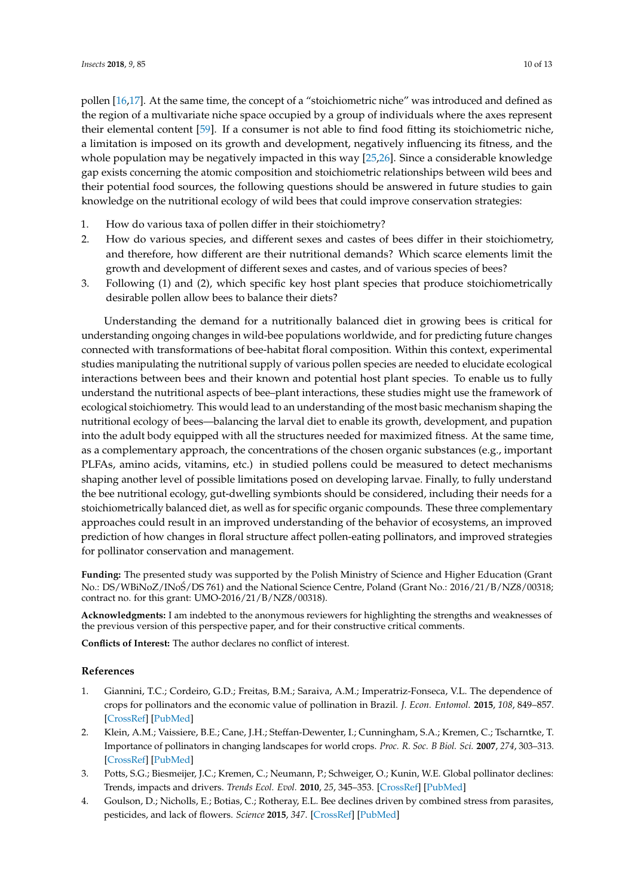pollen [\[16](#page-10-10)[,17\]](#page-10-11). At the same time, the concept of a "stoichiometric niche" was introduced and defined as the region of a multivariate niche space occupied by a group of individuals where the axes represent their elemental content [\[59\]](#page-12-8). If a consumer is not able to find food fitting its stoichiometric niche, a limitation is imposed on its growth and development, negatively influencing its fitness, and the whole population may be negatively impacted in this way [\[25,](#page-10-18)[26\]](#page-10-19). Since a considerable knowledge gap exists concerning the atomic composition and stoichiometric relationships between wild bees and their potential food sources, the following questions should be answered in future studies to gain knowledge on the nutritional ecology of wild bees that could improve conservation strategies:

- 1. How do various taxa of pollen differ in their stoichiometry?
- 2. How do various species, and different sexes and castes of bees differ in their stoichiometry, and therefore, how different are their nutritional demands? Which scarce elements limit the growth and development of different sexes and castes, and of various species of bees?
- 3. Following (1) and (2), which specific key host plant species that produce stoichiometrically desirable pollen allow bees to balance their diets?

Understanding the demand for a nutritionally balanced diet in growing bees is critical for understanding ongoing changes in wild-bee populations worldwide, and for predicting future changes connected with transformations of bee-habitat floral composition. Within this context, experimental studies manipulating the nutritional supply of various pollen species are needed to elucidate ecological interactions between bees and their known and potential host plant species. To enable us to fully understand the nutritional aspects of bee–plant interactions, these studies might use the framework of ecological stoichiometry. This would lead to an understanding of the most basic mechanism shaping the nutritional ecology of bees—balancing the larval diet to enable its growth, development, and pupation into the adult body equipped with all the structures needed for maximized fitness. At the same time, as a complementary approach, the concentrations of the chosen organic substances (e.g., important PLFAs, amino acids, vitamins, etc.) in studied pollens could be measured to detect mechanisms shaping another level of possible limitations posed on developing larvae. Finally, to fully understand the bee nutritional ecology, gut-dwelling symbionts should be considered, including their needs for a stoichiometrically balanced diet, as well as for specific organic compounds. These three complementary approaches could result in an improved understanding of the behavior of ecosystems, an improved prediction of how changes in floral structure affect pollen-eating pollinators, and improved strategies for pollinator conservation and management.

**Funding:** The presented study was supported by the Polish Ministry of Science and Higher Education (Grant No.: DS/WBiNoZ/INoS/DS 761) and the National Science Centre, Poland (Grant No.: 2016/21/B/NZ8/00318; ´ contract no. for this grant: UMO-2016/21/B/NZ8/00318).

**Acknowledgments:** I am indebted to the anonymous reviewers for highlighting the strengths and weaknesses of the previous version of this perspective paper, and for their constructive critical comments.

**Conflicts of Interest:** The author declares no conflict of interest.

#### **References**

- <span id="page-9-0"></span>1. Giannini, T.C.; Cordeiro, G.D.; Freitas, B.M.; Saraiva, A.M.; Imperatriz-Fonseca, V.L. The dependence of crops for pollinators and the economic value of pollination in Brazil. *J. Econ. Entomol.* **2015**, *108*, 849–857. [\[CrossRef\]](http://dx.doi.org/10.1093/jee/tov093) [\[PubMed\]](http://www.ncbi.nlm.nih.gov/pubmed/26470203)
- <span id="page-9-2"></span>2. Klein, A.M.; Vaissiere, B.E.; Cane, J.H.; Steffan-Dewenter, I.; Cunningham, S.A.; Kremen, C.; Tscharntke, T. Importance of pollinators in changing landscapes for world crops. *Proc. R. Soc. B Biol. Sci.* **2007**, *274*, 303–313. [\[CrossRef\]](http://dx.doi.org/10.1098/rspb.2006.3721) [\[PubMed\]](http://www.ncbi.nlm.nih.gov/pubmed/17164193)
- <span id="page-9-1"></span>3. Potts, S.G.; Biesmeijer, J.C.; Kremen, C.; Neumann, P.; Schweiger, O.; Kunin, W.E. Global pollinator declines: Trends, impacts and drivers. *Trends Ecol. Evol.* **2010**, *25*, 345–353. [\[CrossRef\]](http://dx.doi.org/10.1016/j.tree.2010.01.007) [\[PubMed\]](http://www.ncbi.nlm.nih.gov/pubmed/20188434)
- <span id="page-9-3"></span>4. Goulson, D.; Nicholls, E.; Botias, C.; Rotheray, E.L. Bee declines driven by combined stress from parasites, pesticides, and lack of flowers. *Science* **2015**, *347*. [\[CrossRef\]](http://dx.doi.org/10.1126/science.1255957) [\[PubMed\]](http://www.ncbi.nlm.nih.gov/pubmed/25721506)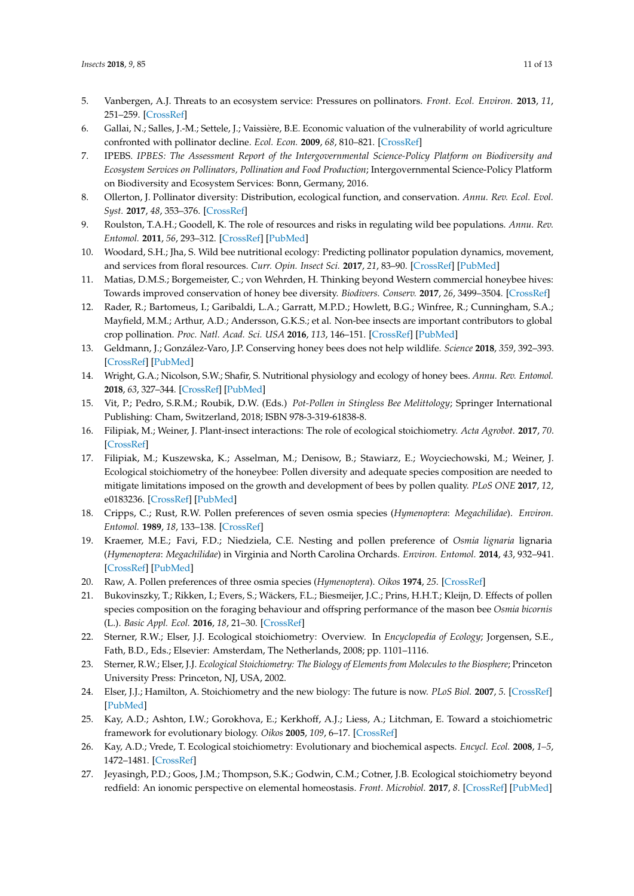- <span id="page-10-0"></span>5. Vanbergen, A.J. Threats to an ecosystem service: Pressures on pollinators. *Front. Ecol. Environ.* **2013**, *11*, 251–259. [\[CrossRef\]](http://dx.doi.org/10.1890/120126)
- <span id="page-10-1"></span>6. Gallai, N.; Salles, J.-M.; Settele, J.; Vaissière, B.E. Economic valuation of the vulnerability of world agriculture confronted with pollinator decline. *Ecol. Econ.* **2009**, *68*, 810–821. [\[CrossRef\]](http://dx.doi.org/10.1016/j.ecolecon.2008.06.014)
- <span id="page-10-2"></span>7. IPEBS. *IPBES: The Assessment Report of the Intergovernmental Science-Policy Platform on Biodiversity and Ecosystem Services on Pollinators, Pollination and Food Production*; Intergovernmental Science-Policy Platform on Biodiversity and Ecosystem Services: Bonn, Germany, 2016.
- <span id="page-10-3"></span>8. Ollerton, J. Pollinator diversity: Distribution, ecological function, and conservation. *Annu. Rev. Ecol. Evol. Syst.* **2017**, *48*, 353–376. [\[CrossRef\]](http://dx.doi.org/10.1146/annurev-ecolsys-110316-022919)
- <span id="page-10-4"></span>9. Roulston, T.A.H.; Goodell, K. The role of resources and risks in regulating wild bee populations. *Annu. Rev. Entomol.* **2011**, *56*, 293–312. [\[CrossRef\]](http://dx.doi.org/10.1146/annurev-ento-120709-144802) [\[PubMed\]](http://www.ncbi.nlm.nih.gov/pubmed/20822447)
- <span id="page-10-5"></span>10. Woodard, S.H.; Jha, S. Wild bee nutritional ecology: Predicting pollinator population dynamics, movement, and services from floral resources. *Curr. Opin. Insect Sci.* **2017**, *21*, 83–90. [\[CrossRef\]](http://dx.doi.org/10.1016/j.cois.2017.05.011) [\[PubMed\]](http://www.ncbi.nlm.nih.gov/pubmed/28822494)
- <span id="page-10-6"></span>11. Matias, D.M.S.; Borgemeister, C.; von Wehrden, H. Thinking beyond Western commercial honeybee hives: Towards improved conservation of honey bee diversity. *Biodivers. Conserv.* **2017**, *26*, 3499–3504. [\[CrossRef\]](http://dx.doi.org/10.1007/s10531-017-1404-y)
- 12. Rader, R.; Bartomeus, I.; Garibaldi, L.A.; Garratt, M.P.D.; Howlett, B.G.; Winfree, R.; Cunningham, S.A.; Mayfield, M.M.; Arthur, A.D.; Andersson, G.K.S.; et al. Non-bee insects are important contributors to global crop pollination. *Proc. Natl. Acad. Sci. USA* **2016**, *113*, 146–151. [\[CrossRef\]](http://dx.doi.org/10.1073/pnas.1517092112) [\[PubMed\]](http://www.ncbi.nlm.nih.gov/pubmed/26621730)
- <span id="page-10-7"></span>13. Geldmann, J.; González-Varo, J.P. Conserving honey bees does not help wildlife. *Science* **2018**, *359*, 392–393. [\[CrossRef\]](http://dx.doi.org/10.1126/science.aar2269) [\[PubMed\]](http://www.ncbi.nlm.nih.gov/pubmed/29371456)
- <span id="page-10-8"></span>14. Wright, G.A.; Nicolson, S.W.; Shafir, S. Nutritional physiology and ecology of honey bees. *Annu. Rev. Entomol.* **2018**, *63*, 327–344. [\[CrossRef\]](http://dx.doi.org/10.1146/annurev-ento-020117-043423) [\[PubMed\]](http://www.ncbi.nlm.nih.gov/pubmed/29029590)
- <span id="page-10-9"></span>15. Vit, P.; Pedro, S.R.M.; Roubik, D.W. (Eds.) *Pot-Pollen in Stingless Bee Melittology*; Springer International Publishing: Cham, Switzerland, 2018; ISBN 978-3-319-61838-8.
- <span id="page-10-10"></span>16. Filipiak, M.; Weiner, J. Plant-insect interactions: The role of ecological stoichiometry. *Acta Agrobot.* **2017**, *70*. [\[CrossRef\]](http://dx.doi.org/10.5586/aa.1710)
- <span id="page-10-11"></span>17. Filipiak, M.; Kuszewska, K.; Asselman, M.; Denisow, B.; Stawiarz, E.; Woyciechowski, M.; Weiner, J. Ecological stoichiometry of the honeybee: Pollen diversity and adequate species composition are needed to mitigate limitations imposed on the growth and development of bees by pollen quality. *PLoS ONE* **2017**, *12*, e0183236. [\[CrossRef\]](http://dx.doi.org/10.1371/journal.pone.0183236) [\[PubMed\]](http://www.ncbi.nlm.nih.gov/pubmed/28829793)
- <span id="page-10-12"></span>18. Cripps, C.; Rust, R.W. Pollen preferences of seven osmia species (*Hymenoptera*: *Megachilidae*). *Environ. Entomol.* **1989**, *18*, 133–138. [\[CrossRef\]](http://dx.doi.org/10.1093/ee/18.1.133)
- 19. Kraemer, M.E.; Favi, F.D.; Niedziela, C.E. Nesting and pollen preference of *Osmia lignaria* lignaria (*Hymenoptera*: *Megachilidae*) in Virginia and North Carolina Orchards. *Environ. Entomol.* **2014**, *43*, 932–941. [\[CrossRef\]](http://dx.doi.org/10.1603/EN13219) [\[PubMed\]](http://www.ncbi.nlm.nih.gov/pubmed/24865141)
- <span id="page-10-13"></span>20. Raw, A. Pollen preferences of three osmia species (*Hymenoptera*). *Oikos* **1974**, *25*. [\[CrossRef\]](http://dx.doi.org/10.2307/3543545)
- <span id="page-10-14"></span>21. Bukovinszky, T.; Rikken, I.; Evers, S.; Wäckers, F.L.; Biesmeijer, J.C.; Prins, H.H.T.; Kleijn, D. Effects of pollen species composition on the foraging behaviour and offspring performance of the mason bee *Osmia bicornis* (L.). *Basic Appl. Ecol.* **2016**, *18*, 21–30. [\[CrossRef\]](http://dx.doi.org/10.1016/j.baae.2016.11.001)
- <span id="page-10-15"></span>22. Sterner, R.W.; Elser, J.J. Ecological stoichiometry: Overview. In *Encyclopedia of Ecology*; Jorgensen, S.E., Fath, B.D., Eds.; Elsevier: Amsterdam, The Netherlands, 2008; pp. 1101–1116.
- <span id="page-10-16"></span>23. Sterner, R.W.; Elser, J.J. *Ecological Stoichiometry: The Biology of Elements from Molecules to the Biosphere*; Princeton University Press: Princeton, NJ, USA, 2002.
- <span id="page-10-17"></span>24. Elser, J.J.; Hamilton, A. Stoichiometry and the new biology: The future is now. *PLoS Biol.* **2007**, *5*. [\[CrossRef\]](http://dx.doi.org/10.1371/journal.pbio.0050181) [\[PubMed\]](http://www.ncbi.nlm.nih.gov/pubmed/17638416)
- <span id="page-10-18"></span>25. Kay, A.D.; Ashton, I.W.; Gorokhova, E.; Kerkhoff, A.J.; Liess, A.; Litchman, E. Toward a stoichiometric framework for evolutionary biology. *Oikos* **2005**, *109*, 6–17. [\[CrossRef\]](http://dx.doi.org/10.1111/j.0030-1299.2005.14048.x)
- <span id="page-10-19"></span>26. Kay, A.D.; Vrede, T. Ecological stoichiometry: Evolutionary and biochemical aspects. *Encycl. Ecol.* **2008**, *1–5*, 1472–1481. [\[CrossRef\]](http://dx.doi.org/10.1016/b978-008045405-4.00305-0)
- <span id="page-10-20"></span>27. Jeyasingh, P.D.; Goos, J.M.; Thompson, S.K.; Godwin, C.M.; Cotner, J.B. Ecological stoichiometry beyond redfield: An ionomic perspective on elemental homeostasis. *Front. Microbiol.* **2017**, *8*. [\[CrossRef\]](http://dx.doi.org/10.3389/fmicb.2017.00722) [\[PubMed\]](http://www.ncbi.nlm.nih.gov/pubmed/28487686)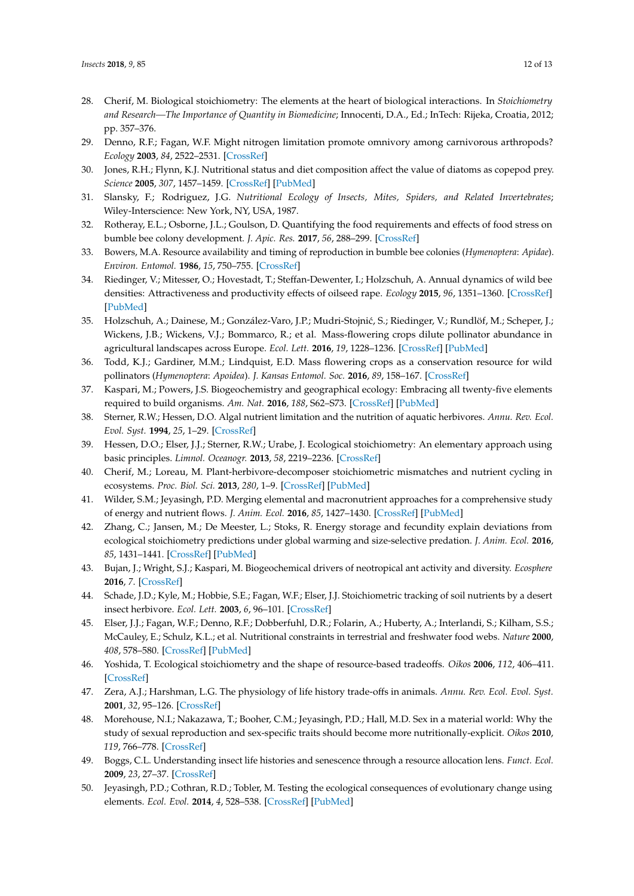- <span id="page-11-0"></span>28. Cherif, M. Biological stoichiometry: The elements at the heart of biological interactions. In *Stoichiometry and Research—The Importance of Quantity in Biomedicine*; Innocenti, D.A., Ed.; InTech: Rijeka, Croatia, 2012; pp. 357–376.
- <span id="page-11-1"></span>29. Denno, R.F.; Fagan, W.F. Might nitrogen limitation promote omnivory among carnivorous arthropods? *Ecology* **2003**, *84*, 2522–2531. [\[CrossRef\]](http://dx.doi.org/10.1890/02-0370)
- <span id="page-11-2"></span>30. Jones, R.H.; Flynn, K.J. Nutritional status and diet composition affect the value of diatoms as copepod prey. *Science* **2005**, *307*, 1457–1459. [\[CrossRef\]](http://dx.doi.org/10.1126/science.1107767) [\[PubMed\]](http://www.ncbi.nlm.nih.gov/pubmed/15746424)
- <span id="page-11-3"></span>31. Slansky, F.; Rodriguez, J.G. *Nutritional Ecology of Insects, Mites, Spiders, and Related Invertebrates*; Wiley-Interscience: New York, NY, USA, 1987.
- <span id="page-11-4"></span>32. Rotheray, E.L.; Osborne, J.L.; Goulson, D. Quantifying the food requirements and effects of food stress on bumble bee colony development. *J. Apic. Res.* **2017**, *56*, 288–299. [\[CrossRef\]](http://dx.doi.org/10.1080/00218839.2017.1307712)
- 33. Bowers, M.A. Resource availability and timing of reproduction in bumble bee colonies (*Hymenoptera*: *Apidae*). *Environ. Entomol.* **1986**, *15*, 750–755. [\[CrossRef\]](http://dx.doi.org/10.1093/ee/15.3.750)
- <span id="page-11-5"></span>34. Riedinger, V.; Mitesser, O.; Hovestadt, T.; Steffan-Dewenter, I.; Holzschuh, A. Annual dynamics of wild bee densities: Attractiveness and productivity effects of oilseed rape. *Ecology* **2015**, *96*, 1351–1360. [\[CrossRef\]](http://dx.doi.org/10.1890/14-1124.1) [\[PubMed\]](http://www.ncbi.nlm.nih.gov/pubmed/26236848)
- <span id="page-11-6"></span>35. Holzschuh, A.; Dainese, M.; González-Varo, J.P.; Mudri-Stojnić, S.; Riedinger, V.; Rundlöf, M.; Scheper, J.; Wickens, J.B.; Wickens, V.J.; Bommarco, R.; et al. Mass-flowering crops dilute pollinator abundance in agricultural landscapes across Europe. *Ecol. Lett.* **2016**, *19*, 1228–1236. [\[CrossRef\]](http://dx.doi.org/10.1111/ele.12657) [\[PubMed\]](http://www.ncbi.nlm.nih.gov/pubmed/27531385)
- <span id="page-11-7"></span>36. Todd, K.J.; Gardiner, M.M.; Lindquist, E.D. Mass flowering crops as a conservation resource for wild pollinators (*Hymenoptera*: *Apoidea*). *J. Kansas Entomol. Soc.* **2016**, *89*, 158–167. [\[CrossRef\]](http://dx.doi.org/10.2317/0022-8567-89.2.158)
- <span id="page-11-8"></span>37. Kaspari, M.; Powers, J.S. Biogeochemistry and geographical ecology: Embracing all twenty-five elements required to build organisms. *Am. Nat.* **2016**, *188*, S62–S73. [\[CrossRef\]](http://dx.doi.org/10.1086/687576) [\[PubMed\]](http://www.ncbi.nlm.nih.gov/pubmed/27513911)
- <span id="page-11-9"></span>38. Sterner, R.W.; Hessen, D.O. Algal nutrient limitation and the nutrition of aquatic herbivores. *Annu. Rev. Ecol. Evol. Syst.* **1994**, *25*, 1–29. [\[CrossRef\]](http://dx.doi.org/10.1146/annurev.es.25.110194.000245)
- 39. Hessen, D.O.; Elser, J.J.; Sterner, R.W.; Urabe, J. Ecological stoichiometry: An elementary approach using basic principles. *Limnol. Oceanogr.* **2013**, *58*, 2219–2236. [\[CrossRef\]](http://dx.doi.org/10.4319/lo.2013.58.6.2219)
- 40. Cherif, M.; Loreau, M. Plant-herbivore-decomposer stoichiometric mismatches and nutrient cycling in ecosystems. *Proc. Biol. Sci.* **2013**, *280*, 1–9. [\[CrossRef\]](http://dx.doi.org/10.1098/rspb.2012.2453) [\[PubMed\]](http://www.ncbi.nlm.nih.gov/pubmed/23303537)
- <span id="page-11-19"></span>41. Wilder, S.M.; Jeyasingh, P.D. Merging elemental and macronutrient approaches for a comprehensive study of energy and nutrient flows. *J. Anim. Ecol.* **2016**, *85*, 1427–1430. [\[CrossRef\]](http://dx.doi.org/10.1111/1365-2656.12573) [\[PubMed\]](http://www.ncbi.nlm.nih.gov/pubmed/27778382)
- <span id="page-11-10"></span>42. Zhang, C.; Jansen, M.; De Meester, L.; Stoks, R. Energy storage and fecundity explain deviations from ecological stoichiometry predictions under global warming and size-selective predation. *J. Anim. Ecol.* **2016**, *85*, 1431–1441. [\[CrossRef\]](http://dx.doi.org/10.1111/1365-2656.12531) [\[PubMed\]](http://www.ncbi.nlm.nih.gov/pubmed/27080908)
- <span id="page-11-11"></span>43. Bujan, J.; Wright, S.J.; Kaspari, M. Biogeochemical drivers of neotropical ant activity and diversity. *Ecosphere* **2016**, *7*. [\[CrossRef\]](http://dx.doi.org/10.1002/ecs2.1597)
- <span id="page-11-12"></span>44. Schade, J.D.; Kyle, M.; Hobbie, S.E.; Fagan, W.F.; Elser, J.J. Stoichiometric tracking of soil nutrients by a desert insect herbivore. *Ecol. Lett.* **2003**, *6*, 96–101. [\[CrossRef\]](http://dx.doi.org/10.1046/j.1461-0248.2003.00409.x)
- <span id="page-11-13"></span>45. Elser, J.J.; Fagan, W.F.; Denno, R.F.; Dobberfuhl, D.R.; Folarin, A.; Huberty, A.; Interlandi, S.; Kilham, S.S.; McCauley, E.; Schulz, K.L.; et al. Nutritional constraints in terrestrial and freshwater food webs. *Nature* **2000**, *408*, 578–580. [\[CrossRef\]](http://dx.doi.org/10.1038/35046058) [\[PubMed\]](http://www.ncbi.nlm.nih.gov/pubmed/11117743)
- <span id="page-11-14"></span>46. Yoshida, T. Ecological stoichiometry and the shape of resource-based tradeoffs. *Oikos* **2006**, *112*, 406–411. [\[CrossRef\]](http://dx.doi.org/10.1111/j.0030-1299.2006.14231.x)
- <span id="page-11-15"></span>47. Zera, A.J.; Harshman, L.G. The physiology of life history trade-offs in animals. *Annu. Rev. Ecol. Evol. Syst.* **2001**, *32*, 95–126. [\[CrossRef\]](http://dx.doi.org/10.1146/annurev.ecolsys.32.081501.114006)
- <span id="page-11-18"></span>48. Morehouse, N.I.; Nakazawa, T.; Booher, C.M.; Jeyasingh, P.D.; Hall, M.D. Sex in a material world: Why the study of sexual reproduction and sex-specific traits should become more nutritionally-explicit. *Oikos* **2010**, *119*, 766–778. [\[CrossRef\]](http://dx.doi.org/10.1111/j.1600-0706.2009.18569.x)
- <span id="page-11-16"></span>49. Boggs, C.L. Understanding insect life histories and senescence through a resource allocation lens. *Funct. Ecol.* **2009**, *23*, 27–37. [\[CrossRef\]](http://dx.doi.org/10.1111/j.1365-2435.2009.01527.x)
- <span id="page-11-17"></span>50. Jeyasingh, P.D.; Cothran, R.D.; Tobler, M. Testing the ecological consequences of evolutionary change using elements. *Ecol. Evol.* **2014**, *4*, 528–538. [\[CrossRef\]](http://dx.doi.org/10.1002/ece3.950) [\[PubMed\]](http://www.ncbi.nlm.nih.gov/pubmed/24634736)